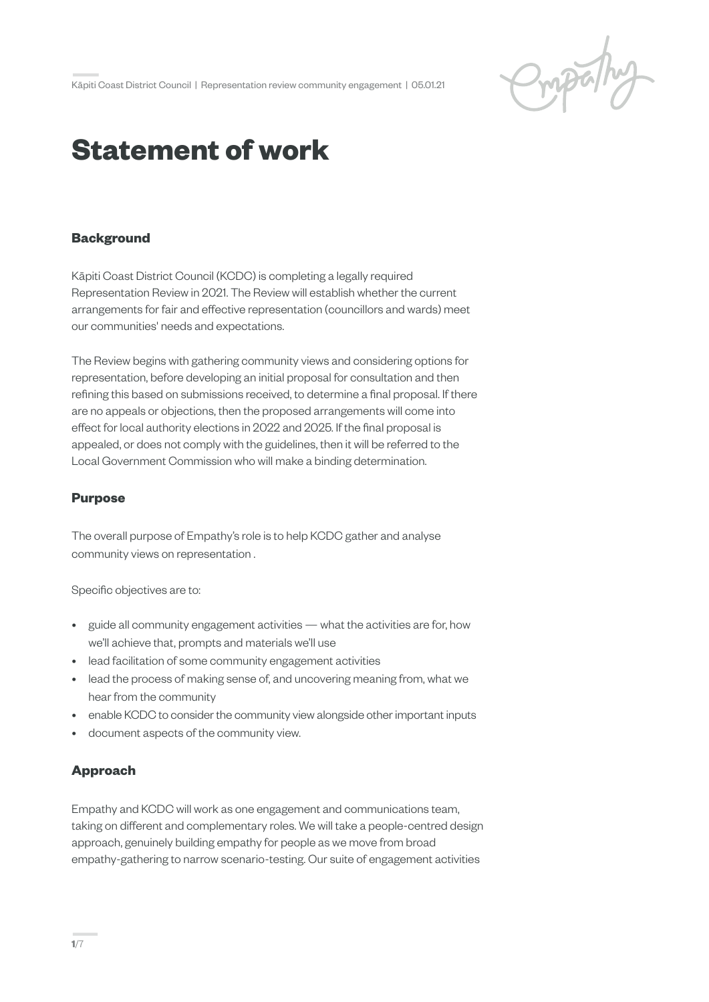Properly

# **Statement of work**

## **Background**

Kāpiti Coast District Council (KCDC) is completing a legally required Representation Review in 2021. The Review will establish whether the current arrangements for fair and effective representation (councillors and wards) meet our communities' needs and expectations.

The Review begins with gathering community views and considering options for representation, before developing an initial proposal for consultation and then refining this based on submissions received, to determine a final proposal. If there are no appeals or objections, then the proposed arrangements will come into effect for local authority elections in 2022 and 2025. If the final proposal is appealed, or does not comply with the guidelines, then it will be referred to the Local Government Commission who will make a binding determination.

## **Purpose**

The overall purpose of Empathy's role is to help KCDC gather and analyse community views on representation .

Specific objectives are to:

- guide all community engagement activities what the activities are for, how we'll achieve that, prompts and materials we'll use
- lead facilitation of some community engagement activities
- lead the process of making sense of, and uncovering meaning from, what we hear from the community
- enable KCDC to consider the community view alongside other important inputs
- document aspects of the community view.

# **Approach**

Empathy and KCDC will work as one engagement and communications team, taking on different and complementary roles. We will take a people-centred design approach, genuinely building empathy for people as we move from broad empathy-gathering to narrow scenario-testing. Our suite of engagement activities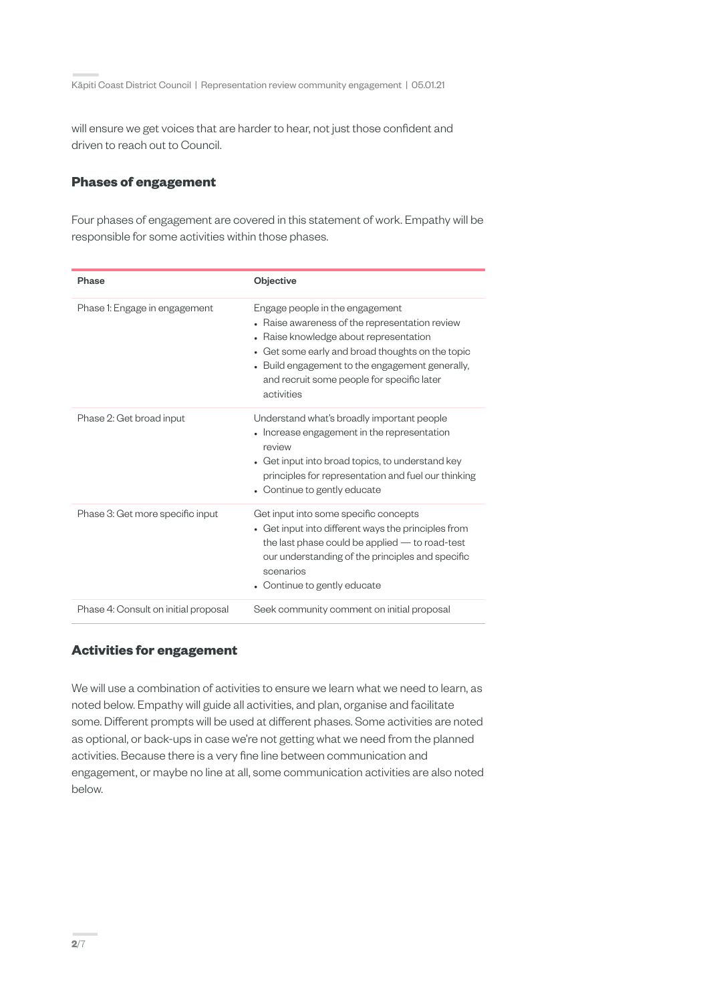will ensure we get voices that are harder to hear, not just those confident and driven to reach out to Council.

## **Phases of engagement**

Four phases of engagement are covered in this statement of work. Empathy will be responsible for some activities within those phases.

| Phase                                | Objective                                                                                                                                                                                                                                                                                    |
|--------------------------------------|----------------------------------------------------------------------------------------------------------------------------------------------------------------------------------------------------------------------------------------------------------------------------------------------|
| Phase 1: Engage in engagement        | Engage people in the engagement<br>• Raise awareness of the representation review<br>• Raise knowledge about representation<br>Get some early and broad thoughts on the topic<br>• Build engagement to the engagement generally,<br>and recruit some people for specific later<br>activities |
| Phase 2: Get broad input             | Understand what's broadly important people<br>• Increase engagement in the representation<br>review<br>• Get input into broad topics, to understand key<br>principles for representation and fuel our thinking<br>• Continue to gently educate                                               |
| Phase 3: Get more specific input     | Get input into some specific concepts<br>• Get input into different ways the principles from<br>the last phase could be applied $-$ to road-test<br>our understanding of the principles and specific<br>scenarios<br>Continue to gently educate                                              |
| Phase 4: Consult on initial proposal | Seek community comment on initial proposal                                                                                                                                                                                                                                                   |

# **Activities for engagement**

We will use a combination of activities to ensure we learn what we need to learn, as noted below. Empathy will guide all activities, and plan, organise and facilitate some. Different prompts will be used at different phases. Some activities are noted as optional, or back-ups in case we're not getting what we need from the planned activities. Because there is a very fine line between communication and engagement, or maybe no line at all, some communication activities are also noted below.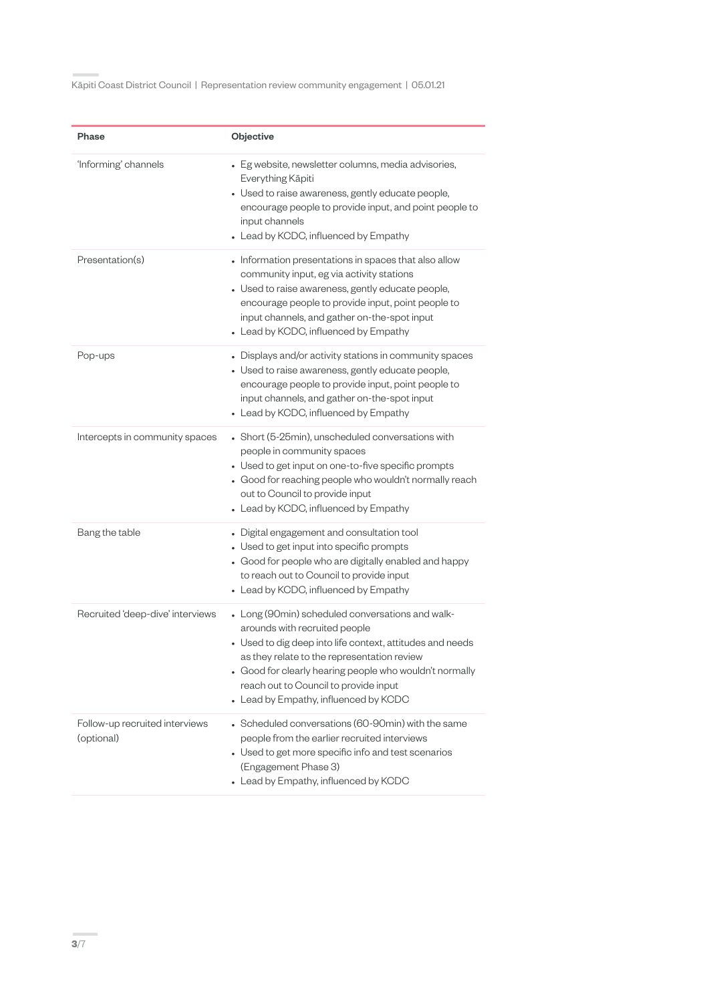| Phase                                        | Objective                                                                                                                                                                                                                                                                                                                                  |
|----------------------------------------------|--------------------------------------------------------------------------------------------------------------------------------------------------------------------------------------------------------------------------------------------------------------------------------------------------------------------------------------------|
| 'Informing' channels                         | • Eg website, newsletter columns, media advisories,<br>Everything Kāpiti<br>• Used to raise awareness, gently educate people,<br>encourage people to provide input, and point people to<br>input channels<br>• Lead by KCDC, influenced by Empathy                                                                                         |
| Presentation(s)                              | • Information presentations in spaces that also allow<br>community input, eg via activity stations<br>• Used to raise awareness, gently educate people,<br>encourage people to provide input, point people to<br>input channels, and gather on-the-spot input<br>• Lead by KCDC, influenced by Empathy                                     |
| Pop-ups                                      | • Displays and/or activity stations in community spaces<br>• Used to raise awareness, gently educate people,<br>encourage people to provide input, point people to<br>input channels, and gather on-the-spot input<br>• Lead by KCDC, influenced by Empathy                                                                                |
| Intercepts in community spaces               | • Short (5-25min), unscheduled conversations with<br>people in community spaces<br>• Used to get input on one-to-five specific prompts<br>• Good for reaching people who wouldn't normally reach<br>out to Council to provide input<br>• Lead by KCDC, influenced by Empathy                                                               |
| Bang the table                               | • Digital engagement and consultation tool<br>• Used to get input into specific prompts<br>• Good for people who are digitally enabled and happy<br>to reach out to Council to provide input<br>• Lead by KCDC, influenced by Empathy                                                                                                      |
| Recruited 'deep-dive' interviews             | • Long (90min) scheduled conversations and walk-<br>arounds with recruited people<br>• Used to dig deep into life context, attitudes and needs<br>as they relate to the representation review<br>• Good for clearly hearing people who wouldn't normally<br>reach out to Council to provide input<br>• Lead by Empathy, influenced by KCDC |
| Follow-up recruited interviews<br>(optional) | • Scheduled conversations (60-90min) with the same<br>people from the earlier recruited interviews<br>• Used to get more specific info and test scenarios<br>(Engagement Phase 3)<br>• Lead by Empathy, influenced by KCDC                                                                                                                 |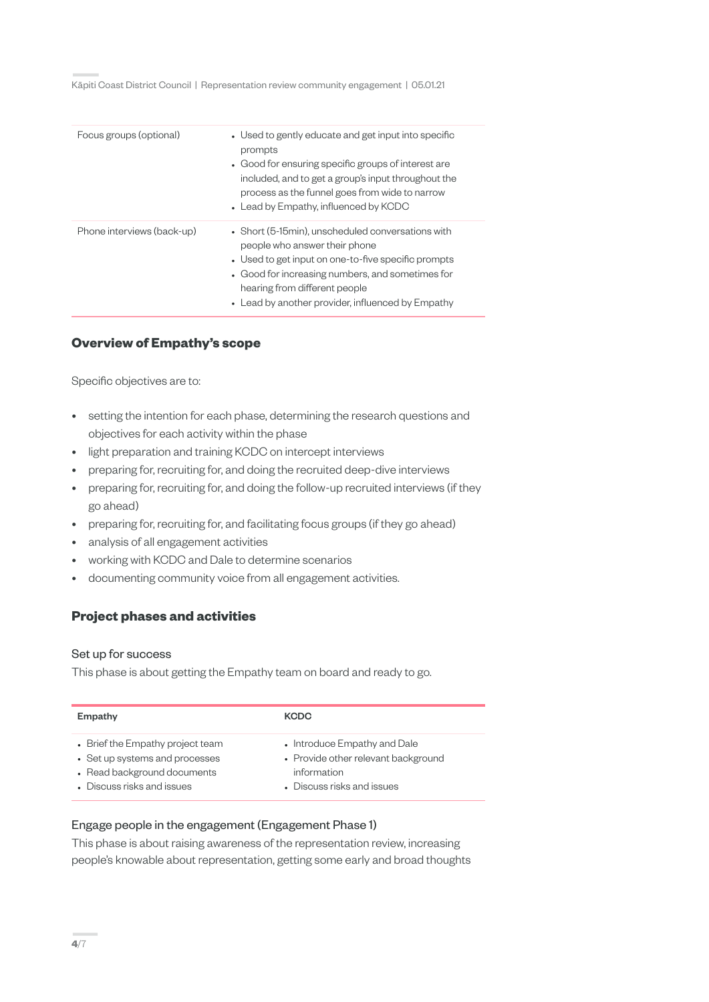| Focus groups (optional)    | • Used to gently educate and get input into specific<br>prompts<br>• Good for ensuring specific groups of interest are<br>included, and to get a group's input throughout the<br>process as the funnel goes from wide to narrow                                                     |
|----------------------------|-------------------------------------------------------------------------------------------------------------------------------------------------------------------------------------------------------------------------------------------------------------------------------------|
|                            | • Lead by Empathy, influenced by KCDC                                                                                                                                                                                                                                               |
| Phone interviews (back-up) | • Short (5-15min), unscheduled conversations with<br>people who answer their phone<br>• Used to get input on one-to-five specific prompts<br>• Good for increasing numbers, and sometimes for<br>hearing from different people<br>• Lead by another provider, influenced by Empathy |

# **Overview of Empathy's scope**

Specific objectives are to:

- setting the intention for each phase, determining the research questions and objectives for each activity within the phase
- light preparation and training KCDC on intercept interviews
- preparing for, recruiting for, and doing the recruited deep-dive interviews
- preparing for, recruiting for, and doing the follow-up recruited interviews (if they go ahead)
- preparing for, recruiting for, and facilitating focus groups (if they go ahead)
- analysis of all engagement activities
- working with KCDC and Dale to determine scenarios
- documenting community voice from all engagement activities.

# **Project phases and activities**

#### Set up for success

This phase is about getting the Empathy team on board and ready to go.

| Empathy                          | <b>KCDC</b>                         |
|----------------------------------|-------------------------------------|
| • Brief the Empathy project team | • Introduce Empathy and Dale        |
| • Set up systems and processes   | • Provide other relevant background |
| • Read background documents      | information                         |
| • Discuss risks and issues       | Discuss risks and issues            |

## Engage people in the engagement (Engagement Phase 1)

This phase is about raising awareness of the representation review, increasing people's knowable about representation, getting some early and broad thoughts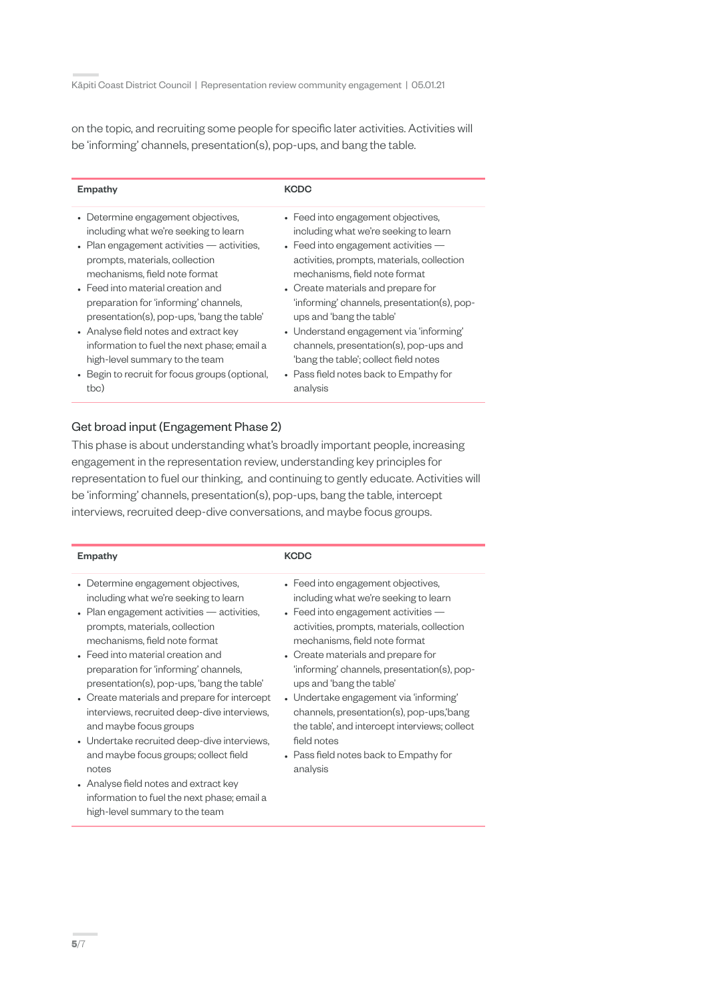on the topic, and recruiting some people for specific later activities. Activities will be 'informing' channels, presentation(s), pop-ups, and bang the table.

| Empathy                                              | <b>KCDC</b>                                   |
|------------------------------------------------------|-----------------------------------------------|
| • Determine engagement objectives,                   | • Feed into engagement objectives,            |
| including what we're seeking to learn                | including what we're seeking to learn         |
| $\bullet$ Plan engagement activities $-$ activities, | $\bullet$ Feed into engagement activities $-$ |
| prompts, materials, collection                       | activities, prompts, materials, collection    |
| mechanisms, field note format                        | mechanisms, field note format                 |
| • Feed into material creation and                    | • Create materials and prepare for            |
| preparation for 'informing' channels,                | 'informing' channels, presentation(s), pop-   |
| presentation(s), pop-ups, 'bang the table'           | ups and 'bang the table'                      |
| • Analyse field notes and extract key                | • Understand engagement via 'informing'       |
| information to fuel the next phase; email a          | channels, presentation(s), pop-ups and        |
| high-level summary to the team                       | 'bang the table'; collect field notes         |
| • Begin to recruit for focus groups (optional,       | • Pass field notes back to Empathy for        |
| tbc)                                                 | analysis                                      |

## Get broad input (Engagement Phase 2)

This phase is about understanding what's broadly important people, increasing engagement in the representation review, understanding key principles for representation to fuel our thinking, and continuing to gently educate. Activities will be 'informing' channels, presentation(s), pop-ups, bang the table, intercept interviews, recruited deep-dive conversations, and maybe focus groups.

| Empathy                                                                                                                                                                                                                                                                                                                                                                                                                                                                                                                                                                                                                                                                              | <b>KCDC</b>                                                                                                                                                                                                                                                                                                                                                                                                                                                                                                                      |
|--------------------------------------------------------------------------------------------------------------------------------------------------------------------------------------------------------------------------------------------------------------------------------------------------------------------------------------------------------------------------------------------------------------------------------------------------------------------------------------------------------------------------------------------------------------------------------------------------------------------------------------------------------------------------------------|----------------------------------------------------------------------------------------------------------------------------------------------------------------------------------------------------------------------------------------------------------------------------------------------------------------------------------------------------------------------------------------------------------------------------------------------------------------------------------------------------------------------------------|
| • Determine engagement objectives,<br>including what we're seeking to learn<br>$\bullet$ Plan engagement activities — activities,<br>prompts, materials, collection<br>mechanisms, field note format<br>• Feed into material creation and<br>preparation for 'informing' channels,<br>presentation(s), pop-ups, 'bang the table'<br>• Create materials and prepare for intercept<br>interviews, recruited deep-dive interviews,<br>and maybe focus groups<br>• Undertake recruited deep-dive interviews,<br>and maybe focus groups; collect field<br>notes<br>• Analyse field notes and extract key<br>information to fuel the next phase; email a<br>high-level summary to the team | • Feed into engagement objectives,<br>including what we're seeking to learn<br>• Feed into engagement activities $-$<br>activities, prompts, materials, collection<br>mechanisms, field note format<br>• Create materials and prepare for<br>'informing' channels, presentation(s), pop-<br>ups and 'bang the table'<br>• Undertake engagement via 'informing'<br>channels, presentation(s), pop-ups, bang<br>the table', and intercept interviews; collect<br>field notes<br>• Pass field notes back to Empathy for<br>analysis |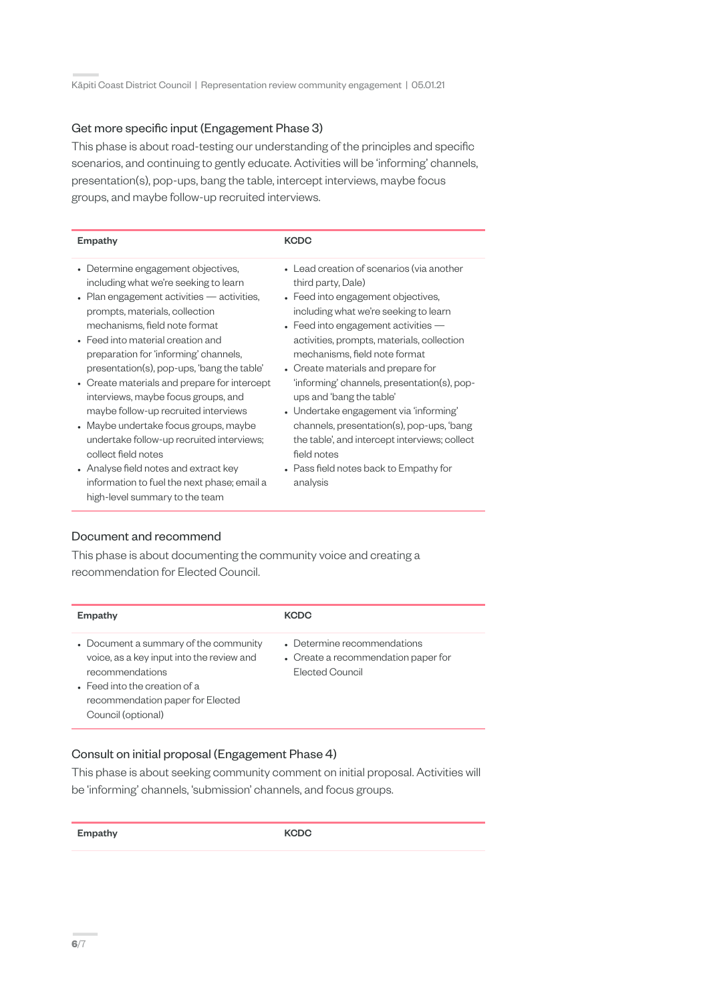## Get more specific input (Engagement Phase 3)

This phase is about road-testing our understanding of the principles and specific scenarios, and continuing to gently educate. Activities will be 'informing' channels, presentation(s), pop-ups, bang the table, intercept interviews, maybe focus groups, and maybe follow-up recruited interviews.

| <b>Empathy</b>                                                                                                                                                                                                                                                                                                                                                                                                                                                                                                                                                                                                                                                                                         | <b>KCDC</b>                                                                                                                                                                                                                                                                                                                                                                                                                                                                                                                                                                                          |
|--------------------------------------------------------------------------------------------------------------------------------------------------------------------------------------------------------------------------------------------------------------------------------------------------------------------------------------------------------------------------------------------------------------------------------------------------------------------------------------------------------------------------------------------------------------------------------------------------------------------------------------------------------------------------------------------------------|------------------------------------------------------------------------------------------------------------------------------------------------------------------------------------------------------------------------------------------------------------------------------------------------------------------------------------------------------------------------------------------------------------------------------------------------------------------------------------------------------------------------------------------------------------------------------------------------------|
| • Determine engagement objectives,<br>including what we're seeking to learn<br>$\cdot$ Plan engagement activities $-$ activities,<br>prompts, materials, collection<br>mechanisms, field note format<br>• Feed into material creation and<br>preparation for 'informing' channels,<br>presentation(s), pop-ups, 'bang the table'<br>• Create materials and prepare for intercept<br>interviews, maybe focus groups, and<br>maybe follow-up recruited interviews<br>• Maybe undertake focus groups, maybe<br>undertake follow-up recruited interviews;<br>collect field notes<br>• Analyse field notes and extract key<br>information to fuel the next phase; email a<br>high-level summary to the team | • Lead creation of scenarios (via another<br>third party, Dale)<br>• Feed into engagement objectives,<br>including what we're seeking to learn<br>• Feed into engagement activities $-$<br>activities, prompts, materials, collection<br>mechanisms, field note format<br>• Create materials and prepare for<br>'informing' channels, presentation(s), pop-<br>ups and 'bang the table'<br>• Undertake engagement via 'informing'<br>channels, presentation(s), pop-ups, 'bang<br>the table', and intercept interviews; collect<br>field notes<br>• Pass field notes back to Empathy for<br>analysis |

#### Document and recommend

This phase is about documenting the community voice and creating a recommendation for Elected Council.

| Empathy                                                                                                                                                                                                  | <b>KCDC</b>                                                                           |
|----------------------------------------------------------------------------------------------------------------------------------------------------------------------------------------------------------|---------------------------------------------------------------------------------------|
| • Document a summary of the community<br>voice, as a key input into the review and<br>recommendations<br>$\bullet$ Feed into the creation of a<br>recommendation paper for Elected<br>Council (optional) | • Determine recommendations<br>• Create a recommendation paper for<br>Elected Council |

## Consult on initial proposal (Engagement Phase 4)

This phase is about seeking community comment on initial proposal. Activities will be 'informing' channels, 'submission' channels, and focus groups.

Empathy KCDC